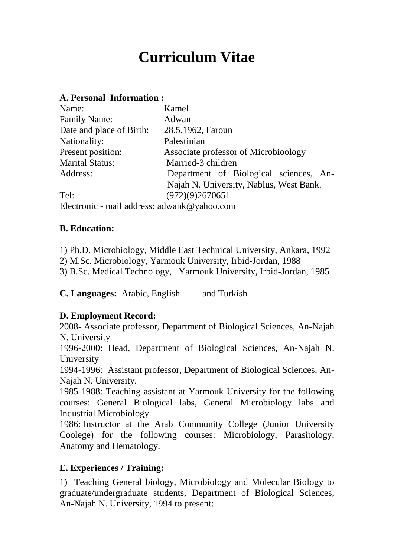# **Curriculum Vitae**

#### **A. Personal Information :**

| Name:                                       | Kamel                                   |
|---------------------------------------------|-----------------------------------------|
| <b>Family Name:</b>                         | Adwan                                   |
| Date and place of Birth:                    | 28.5.1962, Faroun                       |
| Nationality:                                | Palestinian                             |
| Present position:                           | Associate professor of Microbioology    |
| <b>Marital Status:</b>                      | Married-3 children                      |
| Address:                                    | Department of Biological sciences, An-  |
|                                             | Najah N. University, Nablus, West Bank. |
| Tel:                                        | (972)(9)2670651                         |
| Electronic - mail address: adwank@yahoo.com |                                         |

#### **B. Education:**

- 1) Ph.D. Microbiology, Middle East Technical University, Ankara, 1992
- 2) M.Sc. Microbiology, Yarmouk University, Irbid-Jordan, 1988
- 3) B.Sc. Medical Technology, Yarmouk University, Irbid-Jordan, 1985

**C. Languages:** Arabic, English and Turkish

## **D. Employment Record:**

2008- Associate professor, Department of Biological Sciences, An-Najah N. University

1996-2000: Head, Department of Biological Sciences, An-Najah N. University

1994-1996: Assistant professor, Department of Biological Sciences, An- Najah N. University.

1985-1988: Teaching assistant at Yarmouk University for the following courses: General Biological labs, General Microbiology labs and Industrial Microbiology.

1986: Instructor at the Arab Community College (Junior University Coolege) for the following courses: Microbiology, Parasitology, Anatomy and Hematology.

## **E. Experiences / Training:**

1) Teaching General biology, Microbiology and Molecular Biology to graduate/undergraduate students, Department of Biological Sciences, An-Najah N. University, 1994 to present: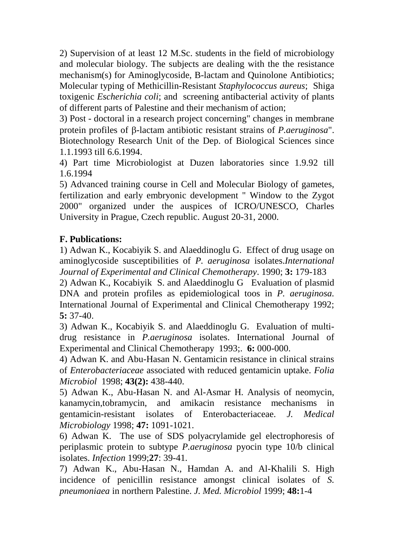2) Supervision of at least 12 M.Sc. students in the field of microbiology and molecular biology. The subjects are dealing with the the resistance mechanism(s) for Aminoglycoside, B-lactam and Quinolone Antibiotics; Molecular typing of Methicillin-Resistant *Staphylococcus aureus*; Shiga toxigenic *Escherichia coli*; and screening antibacterial activity of plants of different parts of Palestine and their mechanism of action;

3) Post - doctoral in a research project concerning" changes in membrane protein profiles of B-lactam antibiotic resistant strains of *P.aeruginosa*". Biotechnology Research Unit of the Dep. of Biological Sciences since 1.1.1993 till 6.6.1994.

4) Part time Microbiologist at Duzen laboratories since 1.9.92 till 1.6.1994

5) Advanced training course in Cell and Molecular Biology of gametes, fertilization and early embryonic development " Window to the Zygot 2000" organized under the auspices of ICRO/UNESCO, Charles University in Prague, Czech republic. August 20-31, 2000.

# **F. Publications:**

1) Adwan K., Kocabiyik S. and Alaeddinoglu G. Effect of drug usage on aminoglycoside susceptibilities of *P. aeruginosa* isolates.*International Journal of Experimental and Clinical Chemotherapy*. 1990; **3:** 179-183

2) Adwan K., Kocabiyik S. and Alaeddinoglu G Evaluation of plasmid DNA and protein profiles as epidemiological toos in *P. aeruginosa.* International Journal of Experimental and Clinical Chemotherapy 1992; **5:** 37-40.

3) Adwan K., Kocabiyik S. and Alaeddinoglu G. Evaluation of multi drug resistance in *P.aeruginosa* isolates. International Journal of Experimental and Clinical Chemotherapy 1993;. **6:** 000-000.

4) Adwan K. and Abu-Hasan N. Gentamicin resistance in clinical strains of *Enterobacteriaceae* associated with reduced gentamicin uptake. *Folia Microbiol* 1998; **43(2):** 438-440.

5) Adwan K., Abu-Hasan N. and Al-Asmar H. Analysis of neomycin, kanamycin,tobramycin, and amikacin resistance mechanisms in gentamicin-resistant isolates of Enterobacteriaceae. *J. Medical Microbiology* 1998; **47:** 1091-1021.

6) Adwan K. The use of SDS polyacrylamide gel electrophoresis of periplasmic protein to subtype *P.aeruginosa* pyocin type 10/b clinical isolates. *Infection* 1999;**27**: 39-41*.*

7) Adwan K., Abu-Hasan N., Hamdan A. and Al-Khalili S. High incidence of penicillin resistance amongst clinical isolates of *S. pneumoniaea* in northern Palestine. *J. Med. Microbiol* 1999; **48:**1-4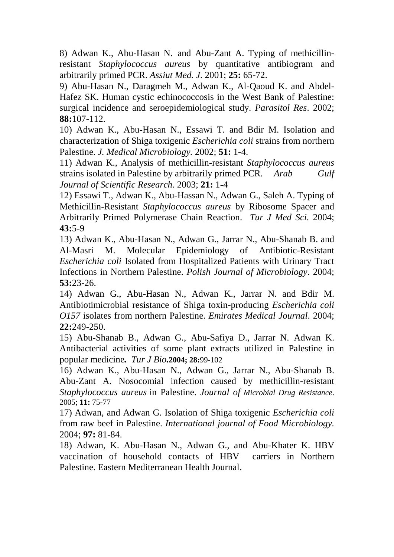8) Adwan K., Abu-Hasan N. and Abu-Zant A. Typing of methicillinresistant *Staphylococcus aureus* by quantitative antibiogram and arbitrarily primed PCR. *Assiut Med. J*. 2001; **25:** 65-72.

9) Abu-Hasan N., Daragmeh M., Adwan K., Al-Qaoud K. and Abdel- Hafez SK. Human cystic echinococcosis in the West Bank of Palestine: surgical incidence and seroepidemiological study. *Parasitol Res*. 2002; **88:**107-112.

10) Adwan K., Abu-Hasan N., Essawi T. and Bdir M. Isolation and characterization of Shiga toxigenic *Escherichia coli* strains from northern Palestine. *J. Medical Microbiology.* 2002; **51:** 1-4.

11) Adwan K., Analysis of methicillin-resistant *Staphylococcus aureus* strains isolated in Palestine by arbitrarily primed PCR. *Arab Gulf Journal of Scientific Research.* 2003; **21:** 1-4

12) Essawi T., Adwan K., Abu-Hassan N., Adwan G., Saleh A. Typing of Methicillin-Resistant *Staphylococcus aureus* by Ribosome Spacer and Arbitrarily Primed Polymerase Chain Reaction. *Tur J Med Sci.* 2004; **43:**5-9

13) Adwan K., Abu-Hasan N., Adwan G., Jarrar N., Abu-Shanab B. and Al-Masri M. Molecular Epidemiology of Antibiotic-Resistant *Escherichia coli* Isolated from Hospitalized Patients with Urinary Tract Infections in Northern Palestine. *Polish Journal of Microbiology*. 2004; **53:**23-26.

14) Adwan G., Abu-Hasan N., Adwan K., Jarrar N. and Bdir M. Antibiotimicrobial resistance of Shiga toxin-producing *Escherichia coli O157* isolates from northern Palestine. *Emirates Medical Journal*. 2004; **22:**249-250.

15) Abu-Shanab B., Adwan G., Abu-Safiya D., Jarrar N. Adwan K. Antibacterial activities of some plant extracts utilized in Palestine in popular medicine*. Tur J Bio.***2004; 28:**99-102

16) Adwan K., Abu-Hasan N., Adwan G., Jarrar N., Abu-Shanab B. Abu-Zant A. Nosocomial infection caused by methicillin-resistant *Staphylococcus aureus* in Palestine. *Journal of Microbial Drug Resistance*. 2005; **11:** 75-77

17) Adwan, and Adwan G. Isolation of Shiga toxigenic *Escherichia coli* from raw beef in Palestine. *International journal of Food Microbiology.* 2004; **97:** 81-84.

18) Adwan, K. Abu-Hasan N., Adwan G., and Abu-Khater K. HBV vaccination of household contacts of HBV carriers in Northern Palestine. Eastern Mediterranean Health Journal.